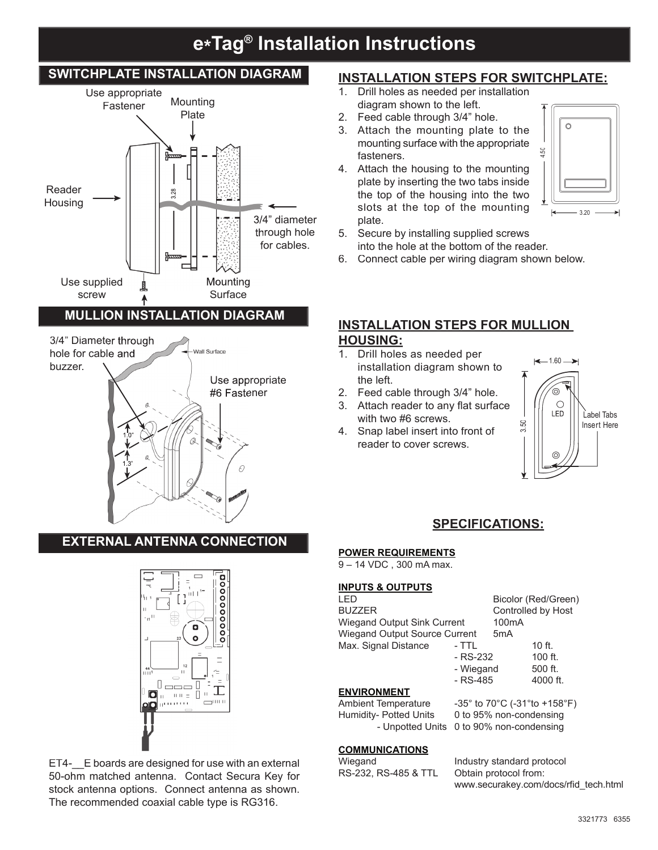# **e\*Tag® Installation Instructions**

#### **SWITCHPLATE INSTALLATION DIAGRAM** Use appropriate **Mounting** Fastener Plate ¿ ¥. Reader 3.28 ¿ **Housing** ¿ 3/4" diameter through hole for cables. Mounting Use supplied 圓 screw **Surface MULLION INSTALLATION DIAGRAM** 3/4" Diameter through hole for cable and Wall Surface buzzer. Use appropriate #6 Fastener ℷ l1.0" v v. A 1.3" R l

### **EXTERNAL ANTENNA CONNECTION**



ET4-\_\_E boards are designed for use with an external 50-ohm matched antenna. Contact Secura Key for stock antenna options. Connect antenna as shown. The recommended coaxial cable type is RG316.

## **INSTALLATION STEPS FOR SWITCHPLATE:**

- 1. Drill holes as needed per installation diagram shown to the left.
- 2. Feed cable through 3/4" hole.
- 3. Attach the mounting plate to the mounting surface with the appropriate fasteners.
- 4. Attach the housing to the mounting plate by inserting the two tabs inside the top of the housing into the two slots at the top of the mounting plate.



- 5. Secure by installing supplied screws into the hole at the bottom of the reader.
- 6. Connect cable per wiring diagram shown below.

## **INSTALLATION STEPS FOR MULLION HOUSING:**

- 1. Drill holes as needed per installation diagram shown to the left.
- 2. Feed cable through 3/4" hole.
- 3. Attach reader to any flat surface with two #6 screws.
- 4. Snap label insert into front of reader to cover screws.



## **SPECIFICATIONS:**

#### **POWER REQUIREMENTS**

9 – 14 VDC , 300 mA max.

#### **INPUTS & OUTPUTS**

| I FD                               |                                                                        | Bicolor (Red/Green) |           |
|------------------------------------|------------------------------------------------------------------------|---------------------|-----------|
| <b>BUZZER</b>                      |                                                                        | Controlled by Host  |           |
| <b>Wiegand Output Sink Current</b> |                                                                        | 100 <sub>m</sub> A  |           |
| Wiegand Output Source Current      |                                                                        | 5 <sub>m</sub> A    |           |
| Max. Signal Distance               | - TTL                                                                  |                     | $10$ ff.  |
|                                    | - RS-232                                                               |                     | $100$ ft. |
|                                    | - Wiegand                                                              |                     | 500 ft.   |
|                                    | $-RS-485$                                                              |                     | 4000 ft.  |
| <b>ENVIRONMENT</b>                 |                                                                        |                     |           |
| <b>Ambient Temperature</b>         | $-35^{\circ}$ to 70 $^{\circ}$ C ( $-31^{\circ}$ to +158 $^{\circ}$ F) |                     |           |
| Humidity- Potted Units             | 0 to 95% non-condensing                                                |                     |           |
| - Unpotted Units                   | 0 to 90% non-condensing                                                |                     |           |

#### **COMMUNICATIONS**

RS-232, RS-485 & TTL Obtain protocol from:

Wiegand **Industry standard protocol** www.securakey.com/docs/rfid\_tech.html